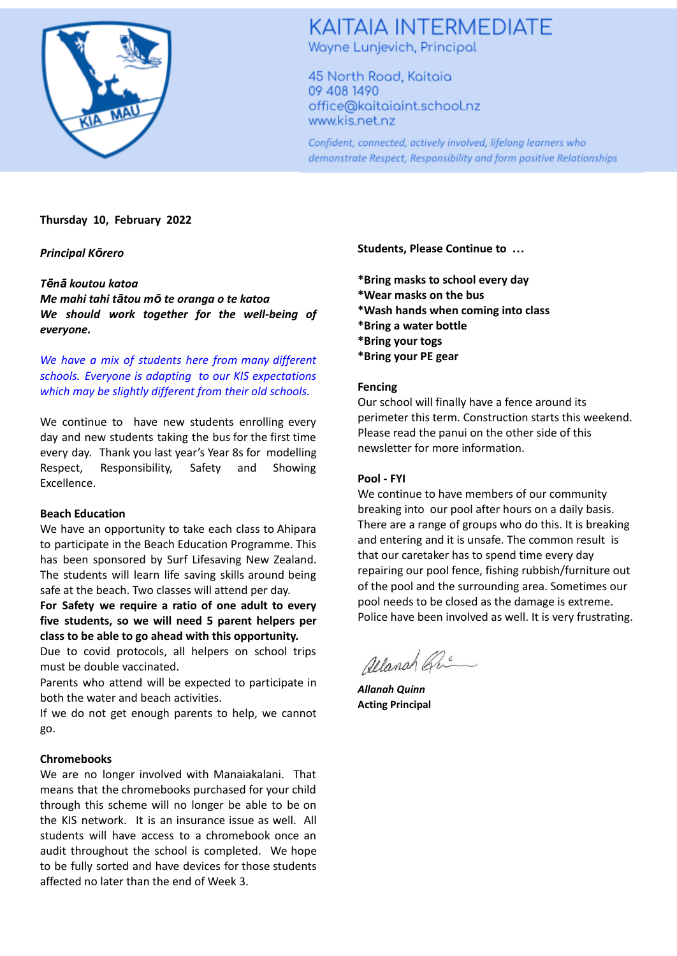

# **KAITAIA INTERMEDIATE** Wayne Lunjevich, Principal

45 North Road, Kaitaia 09 408 1490 office@kaitaiaint.school.nz www.kis.net.nz

Confident, connected, actively involved, lifelong learners who demonstrate Respect, Responsibility and form positive Relationships

### **Thursday 10, February 2022**

*Principal Kōrero*

### *Tēnā koutou katoa*

*Me mahi tahi tātou mō te oranga o te katoa We should work together for the well-being of everyone.*

*We have a mix of students here from many different schools. Everyone is adapting to our KIS expectations which may be slightly different from their old schools.*

We continue to have new students enrolling every day and new students taking the bus for the first time every day. Thank you last year's Year 8s for modelling Respect, Responsibility, Safety and Showing Excellence.

### **Beach Education**

We have an opportunity to take each class to Ahipara to participate in the Beach Education Programme. This has been sponsored by Surf Lifesaving New Zealand. The students will learn life saving skills around being safe at the beach. Two classes will attend per day.

**For Safety we require a ratio of one adult to every five students, so we will need 5 parent helpers per class to be able to go ahead with this opportunity.**

Due to covid protocols, all helpers on school trips must be double vaccinated.

Parents who attend will be expected to participate in both the water and beach activities.

If we do not get enough parents to help, we cannot go.

# **Chromebooks**

We are no longer involved with Manaiakalani. That means that the chromebooks purchased for your child through this scheme will no longer be able to be on the KIS network. It is an insurance issue as well. All students will have access to a chromebook once an audit throughout the school is completed. We hope to be fully sorted and have devices for those students affected no later than the end of Week 3.

**Students, Please Continue to …**

**\*Bring masks to school every day \*Wear masks on the bus**

- **\*Wash hands when coming into class**
- **\*Bring a water bottle**
- **\*Bring your togs**
- **\*Bring your PE gear**

## **Fencing**

Our school will finally have a fence around its perimeter this term. Construction starts this weekend. Please read the panui on the other side of this newsletter for more information.

# **Pool - FYI**

We continue to have members of our community breaking into our pool after hours on a daily basis. There are a range of groups who do this. It is breaking and entering and it is unsafe. The common result is that our caretaker has to spend time every day repairing our pool fence, fishing rubbish/furniture out of the pool and the surrounding area. Sometimes our pool needs to be closed as the damage is extreme. Police have been involved as well. It is very frustrating.

allanah Gri

*Allanah Quinn* **Acting Principal**